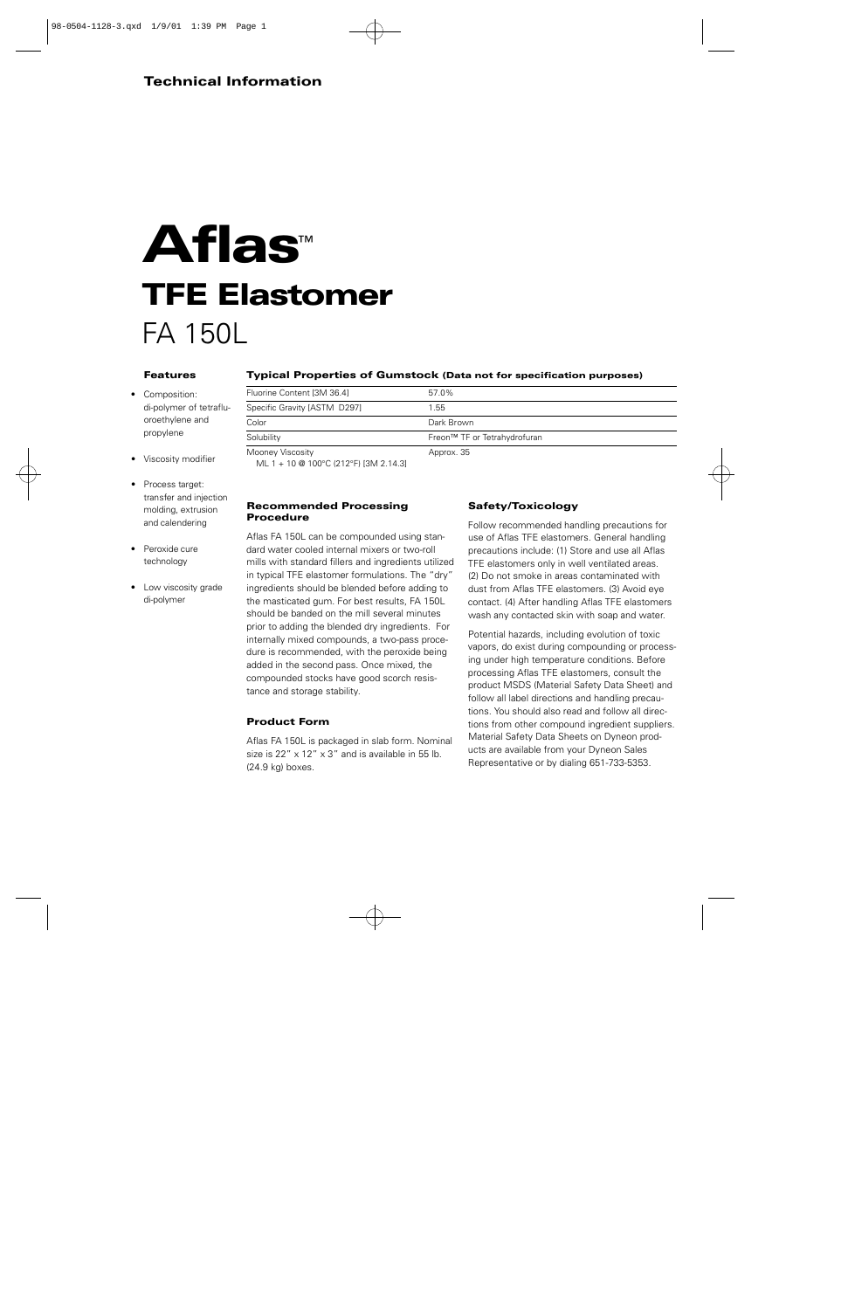#### **Technical Information**

# **A f l a s**™ **TFE Elastomer** FA 150L

#### **Features**

- Composition: di-polymer of tetrafluoroethylene and propylene
- Viscosity modifier
- Process target: transfer and injection molding, extrusion and calendering
- Peroxide cure technology
- Low viscosity grade di-polymer

#### **Typical Properties of Gumstock (Data not for specification purposes)**

| Fluorine Content [3M 36.4]                                             | 57.0%                        |
|------------------------------------------------------------------------|------------------------------|
| Specific Gravity [ASTM D297]                                           | 1.55                         |
| Color                                                                  | Dark Brown                   |
| Solubility                                                             | Freon™ TF or Tetrahydrofuran |
| Mooney Viscosity<br>$M1 - 1 - 10$ @ $100^{\circ}$ (212 °F) [3M 2 14 3] | Approx. 35                   |

ML 1 + 10 @ 100°C (212°F) [3M 2.14.3]

#### **Recommended Processing Procedure**

Aflas FA 150L can be compounded using standard water cooled internal mixers or two-roll mills with standard fillers and ingredients utilized in typical TFE elastomer formulations. The "dry" ingredients should be blended before adding to the masticated gum. For best results, FA 150L should be banded on the mill several minutes prior to adding the blended dry ingredients. For internally mixed compounds, a two-pass procedure is recommended, with the peroxide being added in the second pass. Once mixed, the compounded stocks have good scorch resistance and storage stability.

#### **Product Form**

Aflas FA 150L is packaged in slab form. Nominal size is 22" x 12" x 3" and is available in 55 lb. (24.9 kg) boxes.

#### **Safety/Toxicology**

Follow recommended handling precautions for use of Aflas TFE elastomers. General handling precautions include: (1) Store and use all Aflas TFE elastomers only in well ventilated areas. (2) Do not smoke in areas contaminated with dust from Aflas TFE elastomers. (3) Avoid eye contact. (4) After handling Aflas TFE elastomers wash any contacted skin with soap and water.

Potential hazards, including evolution of toxic vapors, do exist during compounding or processing under high temperature conditions. Before processing Aflas TFE elastomers, consult the product MSDS (Material Safety Data Sheet) and follow all label directions and handling precautions. You should also read and follow all directions from other compound ingredient suppliers. Material Safety Data Sheets on Dyneon products are available from your Dyneon Sales Representative or by dialing 651-733-5353.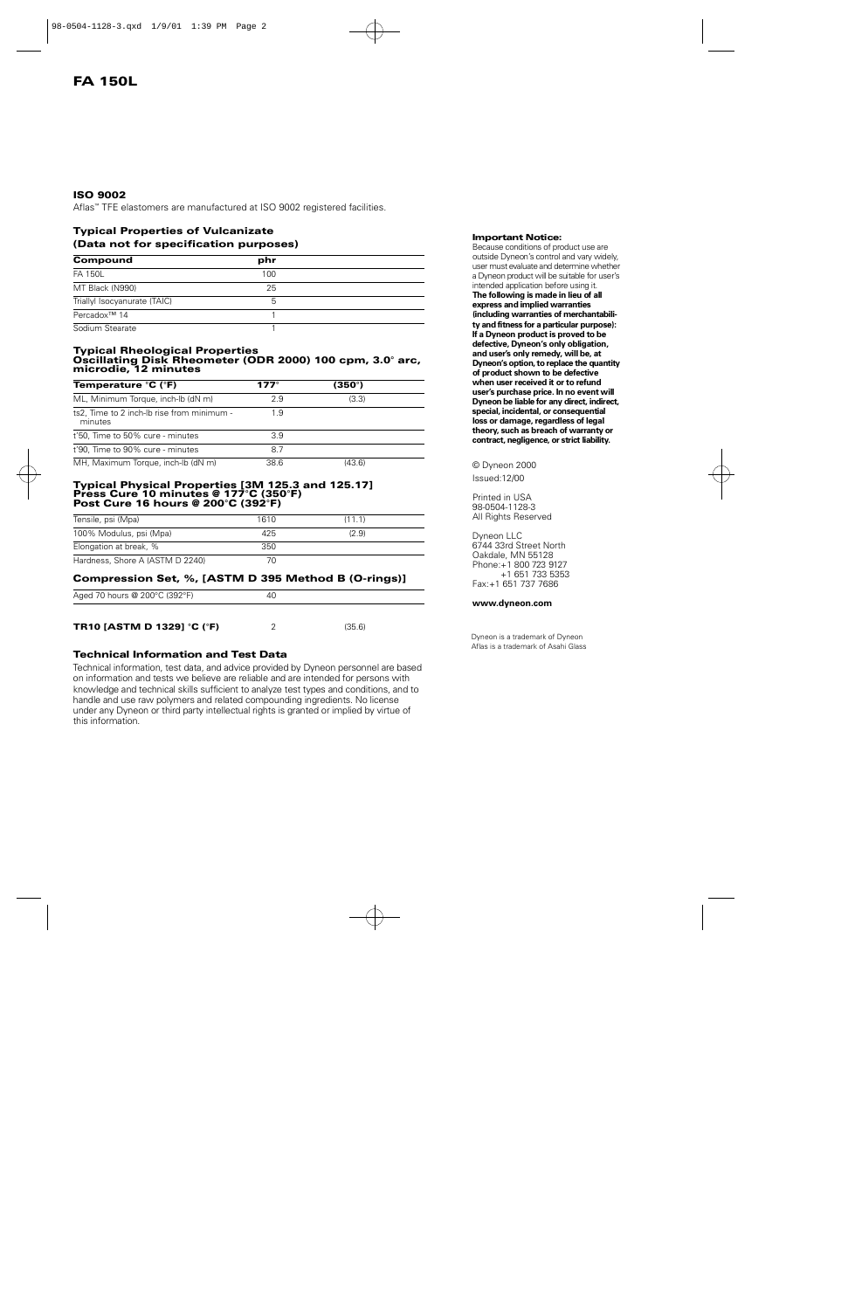#### **ISO 9002**

Aflas™ TFE elastomers are manufactured at ISO 9002 registered facilities.

#### **Typical Properties of Vulcanizate (Data not for specification purposes)**

| Compound                     | phr |  |
|------------------------------|-----|--|
| FA 150L                      | 100 |  |
| MT Black (N990)              | 25  |  |
| Triallyl Isocyanurate (TAIC) | 5   |  |
| Percadox <sup>™</sup> 14     |     |  |
| Sodium Stearate              |     |  |

#### **Typical Rheological Properties Oscillating Disk Rheometer (ODR 2000) 100 cpm, 3.0° arc, microdie, 12 minutes**

| <b>Temperature °C (°F)</b>                            | 177 $^{\circ}$ | $(350^\circ)$ |  |
|-------------------------------------------------------|----------------|---------------|--|
| ML, Minimum Torque, inch-lb (dN m)                    | 2.9            | (3.3)         |  |
| ts2, Time to 2 inch-lb rise from minimum -<br>minutes | 1.9            |               |  |
| t'50, Time to 50% cure - minutes                      | 3.9            |               |  |
| t'90, Time to 90% cure - minutes                      | 8.7            |               |  |
| MH, Maximum Torque, inch-lb (dN m)                    | 38.6           | (43.6)        |  |

#### **Typical Physical Properties [3M 125.3 and 125.17] Press Cure 10 minutes @ 177°C (350°F) Post Cure 16 hours @ 200°C (392°F)**

| Tensile, psi (Mpa)              | 1610 | (11.1) |
|---------------------------------|------|--------|
| 100% Modulus, psi (Mpa)         | 425  | (2.9)  |
| Elongation at break, %          | 350  |        |
| Hardness, Shore A (ASTM D 2240) |      |        |

#### **Compression Set, %, [ASTM D 395 Method B (O-rings)]**

| Aged 70 hours @ 200°C (392°F)     | 40 |        |
|-----------------------------------|----|--------|
|                                   |    |        |
| <b>TR10 [ASTM D 1329] °C (°F)</b> |    | (35.6) |

#### **Technical Information and Test Data**

Technical information, test data, and advice provided by Dyneon personnel are based on information and tests we believe are reliable and are intended for persons with knowledge and technical skills sufficient to analyze test types and conditions, and to handle and use raw polymers and related compounding ingredients. No license under any Dyneon or third party intellectual rights is granted or implied by virtue of this information.

#### **Important Notice:**

Because conditions of product use are outside Dyneon's control and vary widely, user must evaluate and determine whether a Dyneon product will be suitable for user's intended application before using it. **The following is made in lieu of all** express and implied warranties (including warranties of merchantabili**ty and fitness for a particular purpose): If a Dyneon product is proved to be defective, Dyneon's only obligation,** and user's only remedy, will be, at **Dyneon's option, to replace the quantity of product shown to be defective** when user received it or to refund user's purchase price. In no event will **Dyneon be liable for any direct, indirect, special, incidental, or consequential** loss or damage, regardless of legal theory, such as breach of warranty or **contract, negligence, or strict liability.**

#### © Dyneon 2000

Issued:12/00

Printed in USA 98-0504-1128-3 All Rights Reserved

Dyneon LLC 6744 33rd Street North Oakdale, MN 55128 Phone:+1 800 723 9127 +1 651 733 5353 Fax:+1 651 737 7686

#### **www.dyneon.com**

Dyneon is a trademark of Dyneon Aflas is a trademark of Asahi Glass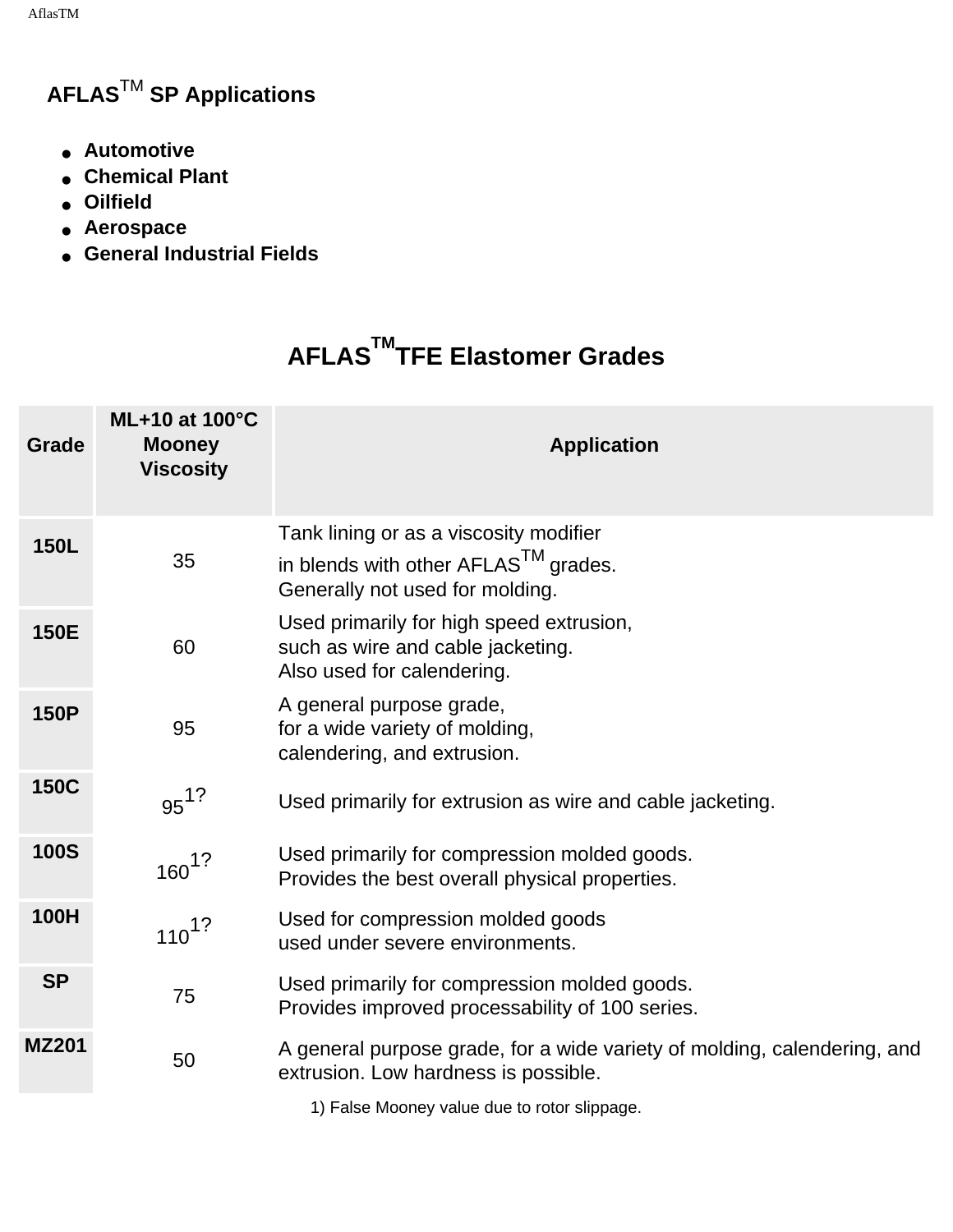AflasTM

### **AFLAS**TM **SP Applications**

- **Automotive**
- **Chemical Plant**
- **Oilfield**
- **Aerospace**
- **General Industrial Fields**

# **AFLASTMTFE Elastomer Grades**

| <b>Grade</b> | <b>ML+10 at 100°C</b><br><b>Mooney</b><br><b>Viscosity</b> | <b>Application</b>                                                                                                            |
|--------------|------------------------------------------------------------|-------------------------------------------------------------------------------------------------------------------------------|
| <b>150L</b>  | 35                                                         | Tank lining or as a viscosity modifier<br>in blends with other AFLAS <sup>TM</sup> grades.<br>Generally not used for molding. |
| <b>150E</b>  | 60                                                         | Used primarily for high speed extrusion,<br>such as wire and cable jacketing.<br>Also used for calendering.                   |
| <b>150P</b>  | 95                                                         | A general purpose grade,<br>for a wide variety of molding,<br>calendering, and extrusion.                                     |
| <b>150C</b>  | $95^{12}$                                                  | Used primarily for extrusion as wire and cable jacketing.                                                                     |
| <b>100S</b>  | $160^{1?}$                                                 | Used primarily for compression molded goods.<br>Provides the best overall physical properties.                                |
| <b>100H</b>  | $110^{1?}$                                                 | Used for compression molded goods<br>used under severe environments.                                                          |
| <b>SP</b>    | 75                                                         | Used primarily for compression molded goods.<br>Provides improved processability of 100 series.                               |
| <b>MZ201</b> | 50                                                         | A general purpose grade, for a wide variety of molding, calendering, and<br>extrusion. Low hardness is possible.              |
|              |                                                            |                                                                                                                               |

1) False Mooney value due to rotor slippage.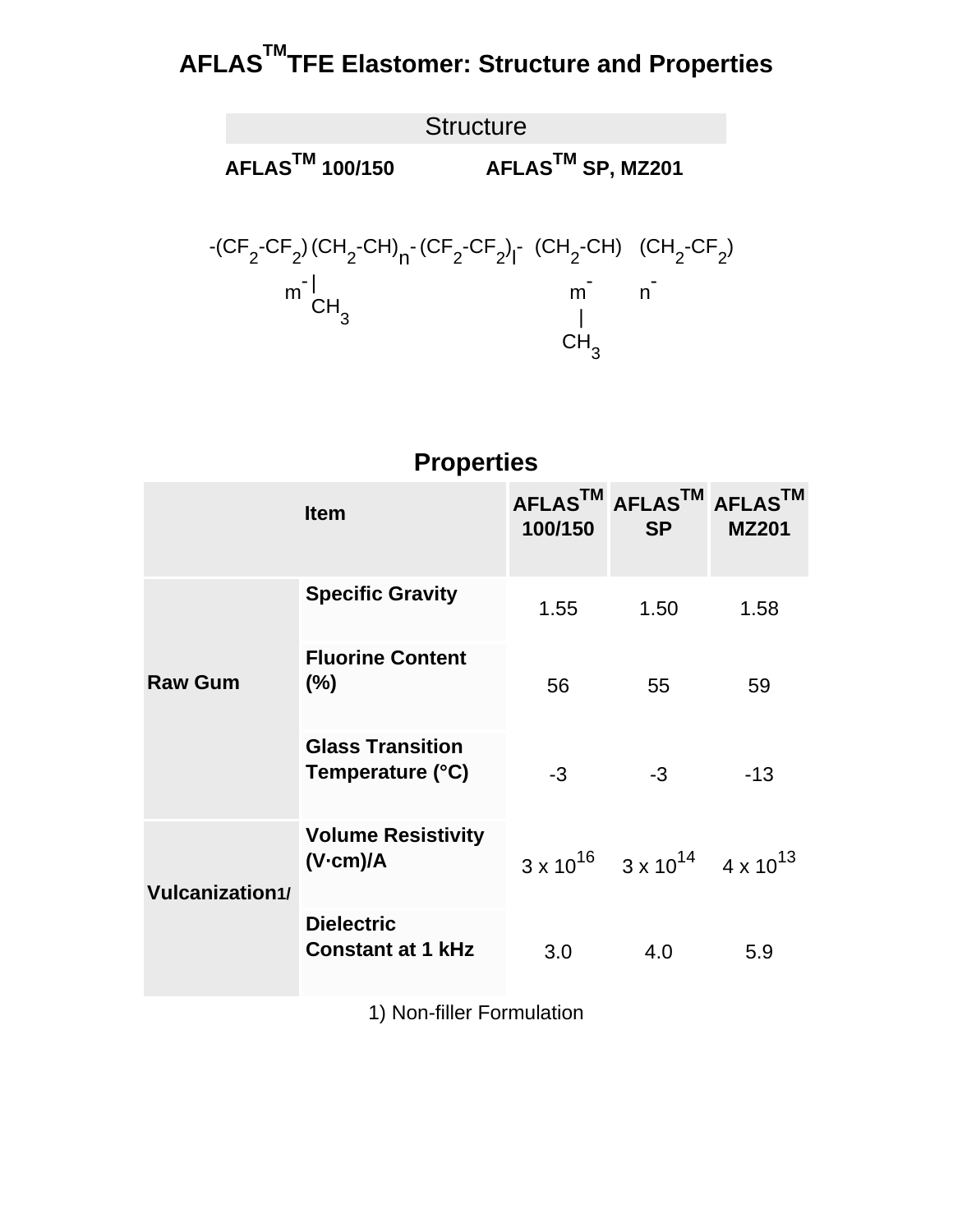# **AFLASTMTFE Elastomer: Structure and Properties**



### **Properties**

|                        | <b>Item</b>                                   | 100/150 | AFLASTM AFLASTM AFLASTM<br><b>SP</b>                     | <b>MZ201</b> |
|------------------------|-----------------------------------------------|---------|----------------------------------------------------------|--------------|
|                        | <b>Specific Gravity</b>                       | 1.55    | 1.50                                                     | 1.58         |
| <b>Raw Gum</b>         | <b>Fluorine Content</b><br>$(\% )$            | 56      | 55                                                       | 59           |
|                        | <b>Glass Transition</b><br>Temperature (°C)   | $-3$    | $-3$                                                     | $-13$        |
| <b>Vulcanization1/</b> | <b>Volume Resistivity</b><br>(V.cm)/A         |         | $3 \times 10^{16}$ $3 \times 10^{14}$ $4 \times 10^{13}$ |              |
|                        | <b>Dielectric</b><br><b>Constant at 1 kHz</b> | 3.0     | 4.0                                                      | 5.9          |

1) Non-filler Formulation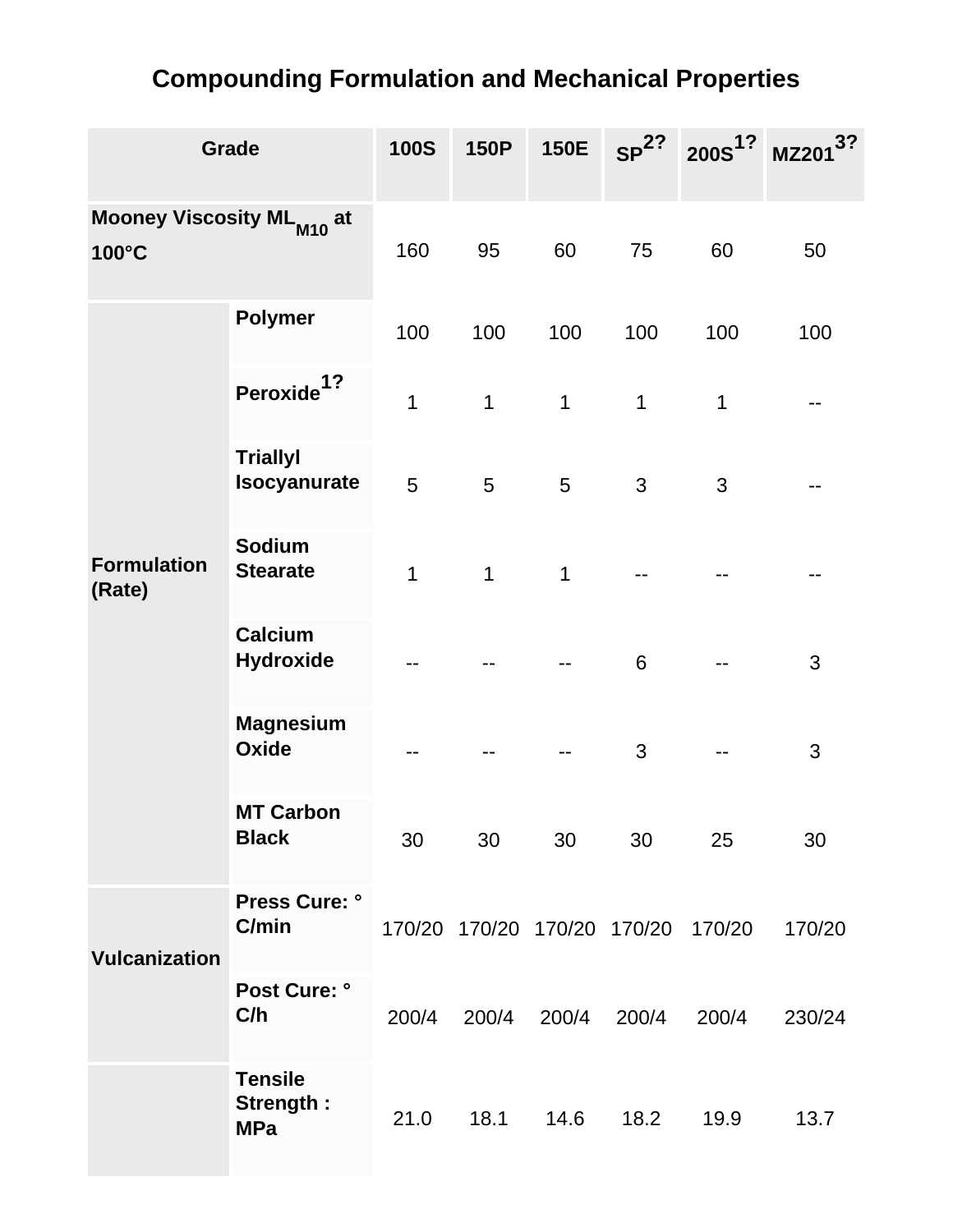## **Compounding Formulation and Mechanical Properties**

| Grade                                          |                                           | <b>100S</b> | <b>150P</b> | <b>150E</b>                 | SP <sup>2?</sup> | 200S <sup>1?</sup> | <b>MZ201</b> |
|------------------------------------------------|-------------------------------------------|-------------|-------------|-----------------------------|------------------|--------------------|--------------|
| Mooney Viscosity ML <sub>M10</sub> at<br>100°C |                                           | 160         | 95          | 60                          | 75               | 60                 | 50           |
|                                                | <b>Polymer</b>                            | 100         | 100         | 100                         | 100              | 100                | 100          |
|                                                | 1?<br><b>Peroxide</b>                     | 1           | $\mathbf 1$ | 1                           | 1                | $\mathbf 1$        |              |
|                                                | <b>Triallyl</b><br><b>Isocyanurate</b>    | 5           | 5           | 5                           | 3                | 3                  |              |
| <b>Formulation</b><br>(Rate)                   | <b>Sodium</b><br><b>Stearate</b>          | 1           | 1           | 1                           |                  |                    |              |
|                                                | <b>Calcium</b><br><b>Hydroxide</b>        |             |             |                             | 6                |                    | 3            |
|                                                | <b>Magnesium</b><br>Oxide                 |             |             |                             | 3                |                    | 3            |
|                                                | <b>MT Carbon</b><br><b>Black</b>          | 30          | 30          | 30                          | 30               | 25                 | 30           |
| <b>Vulcanization</b>                           | Press Cure: °<br>C/min                    |             |             | 170/20 170/20 170/20 170/20 |                  | 170/20             | 170/20       |
|                                                | <b>Post Cure: °</b><br>C/h                | 200/4       | 200/4       | 200/4                       | 200/4            | 200/4              | 230/24       |
|                                                | <b>Tensile</b><br>Strength:<br><b>MPa</b> | 21.0        | 18.1        | 14.6                        | 18.2             | 19.9               | 13.7         |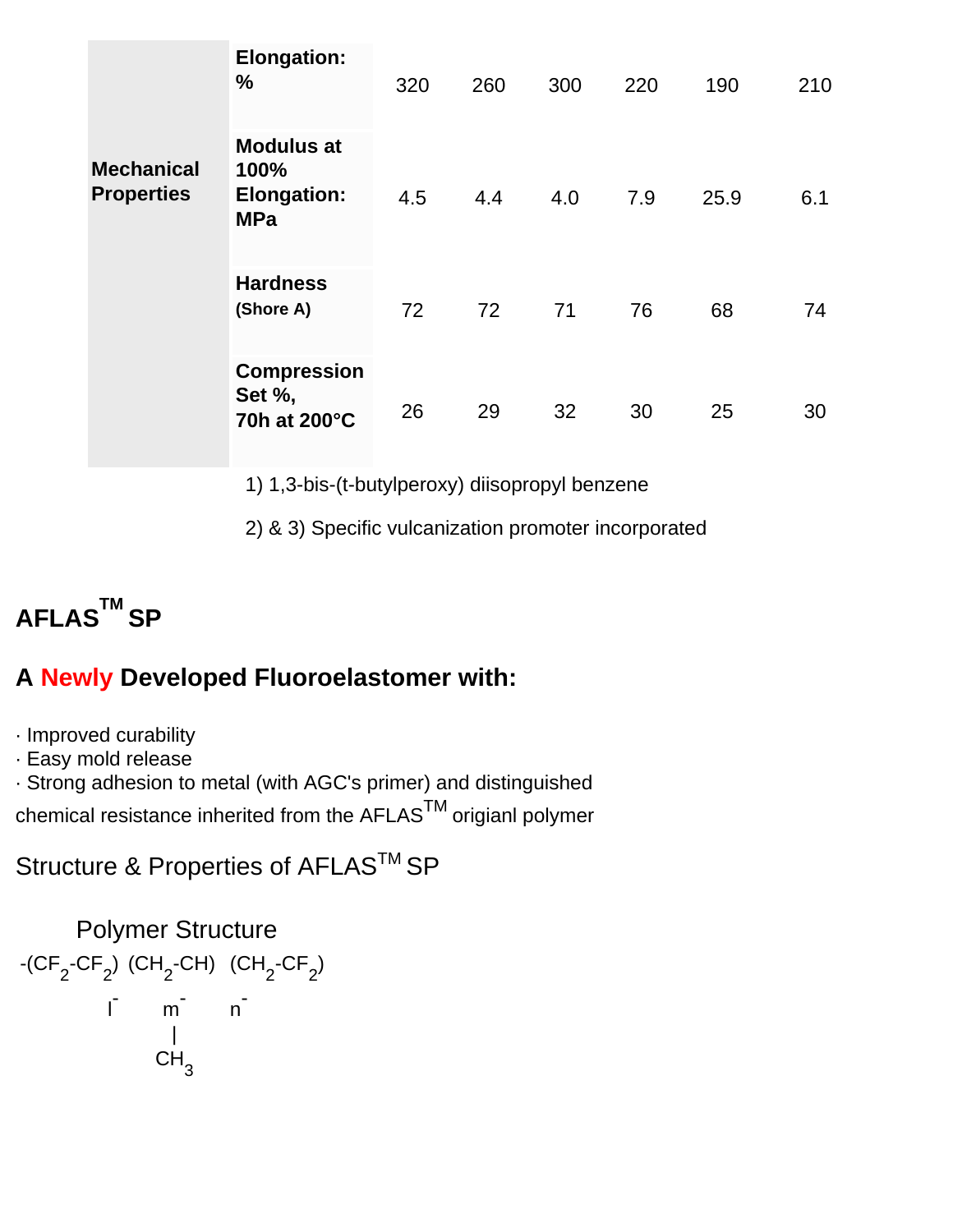|                                        | <b>Elongation:</b><br>%                                       | 320 | 260 | 300 | 220 | 190  | 210 |
|----------------------------------------|---------------------------------------------------------------|-----|-----|-----|-----|------|-----|
| <b>Mechanical</b><br><b>Properties</b> | <b>Modulus at</b><br>100%<br><b>Elongation:</b><br><b>MPa</b> | 4.5 | 4.4 | 4.0 | 7.9 | 25.9 | 6.1 |
|                                        | <b>Hardness</b><br>(Shore A)                                  | 72  | 72  | 71  | 76  | 68   | 74  |
|                                        | <b>Compression</b><br>Set %,<br>70h at 200°C                  | 26  | 29  | 32  | 30  | 25   | 30  |

1) 1,3-bis-(t-butylperoxy) diisopropyl benzene

2) & 3) Specific vulcanization promoter incorporated



### **A Newly Developed Fluoroelastomer with:**

· Improved curability

· Easy mold release

· Strong adhesion to metal (with AGC's primer) and distinguished

chemical resistance inherited from the AFLAS<sup>TM</sup> origianl polymer

Structure & Properties of AFLAS<sup>™</sup> SP

Polymer Structure

\n
$$
-(CF_2-CF_2) (CH_2-CH) (CH_2-CF_2)
$$
\n
$$
I \qquad m \qquad n
$$
\n
$$
CH_3
$$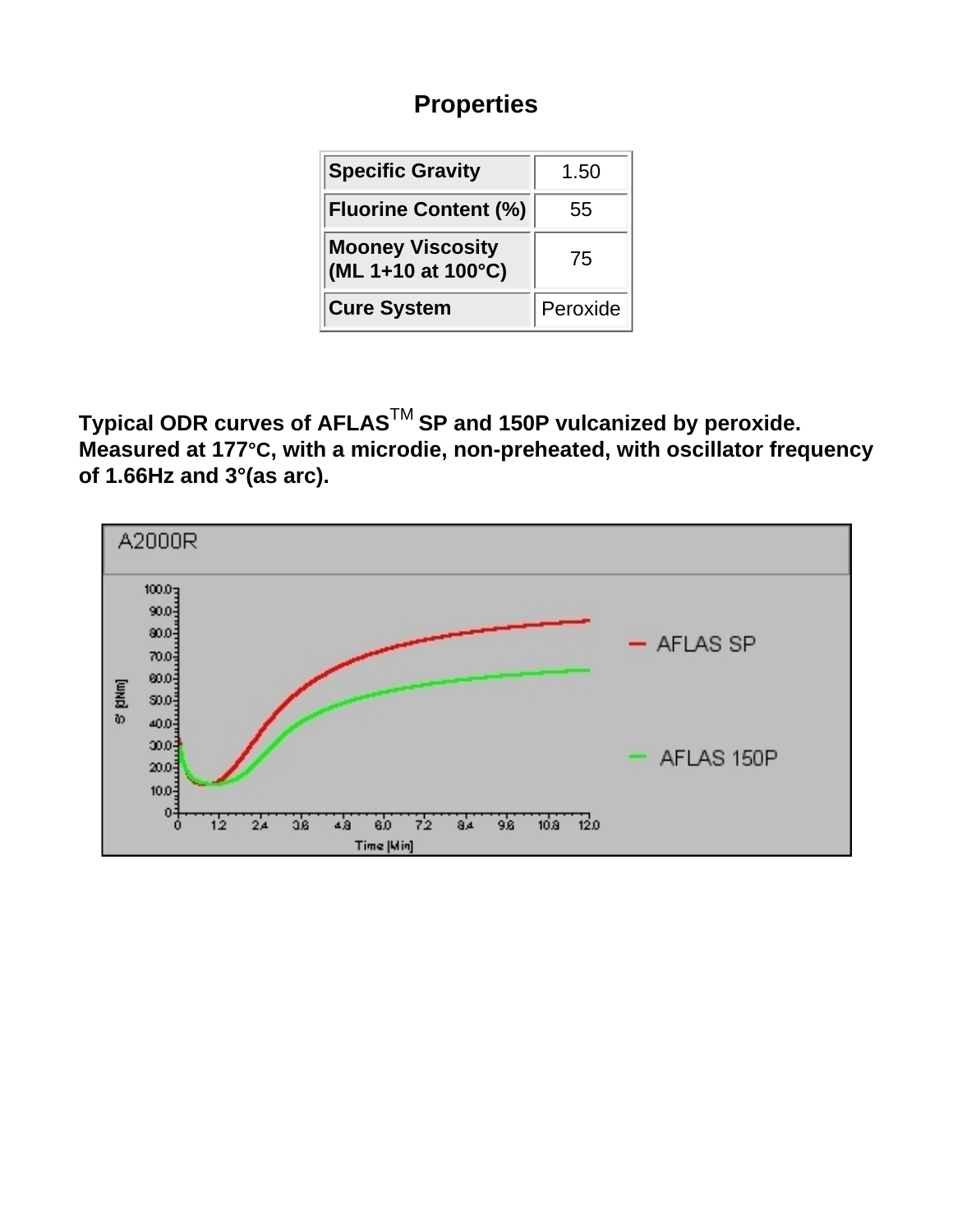### **Properties**

| <b>Specific Gravity</b>                       | 1.50     |
|-----------------------------------------------|----------|
| <b>Fluorine Content (%)</b>                   | 55       |
| <b>Mooney Viscosity</b><br>(ML 1+10 at 100°C) | 75       |
| <b>Cure System</b>                            | Peroxide |

**Typical ODR curves of AFLAS**TM **SP and 150P vulcanized by peroxide. Measured at 177°C, with a microdie, non-preheated, with oscillator frequency of 1.66Hz and 3°(as arc).**

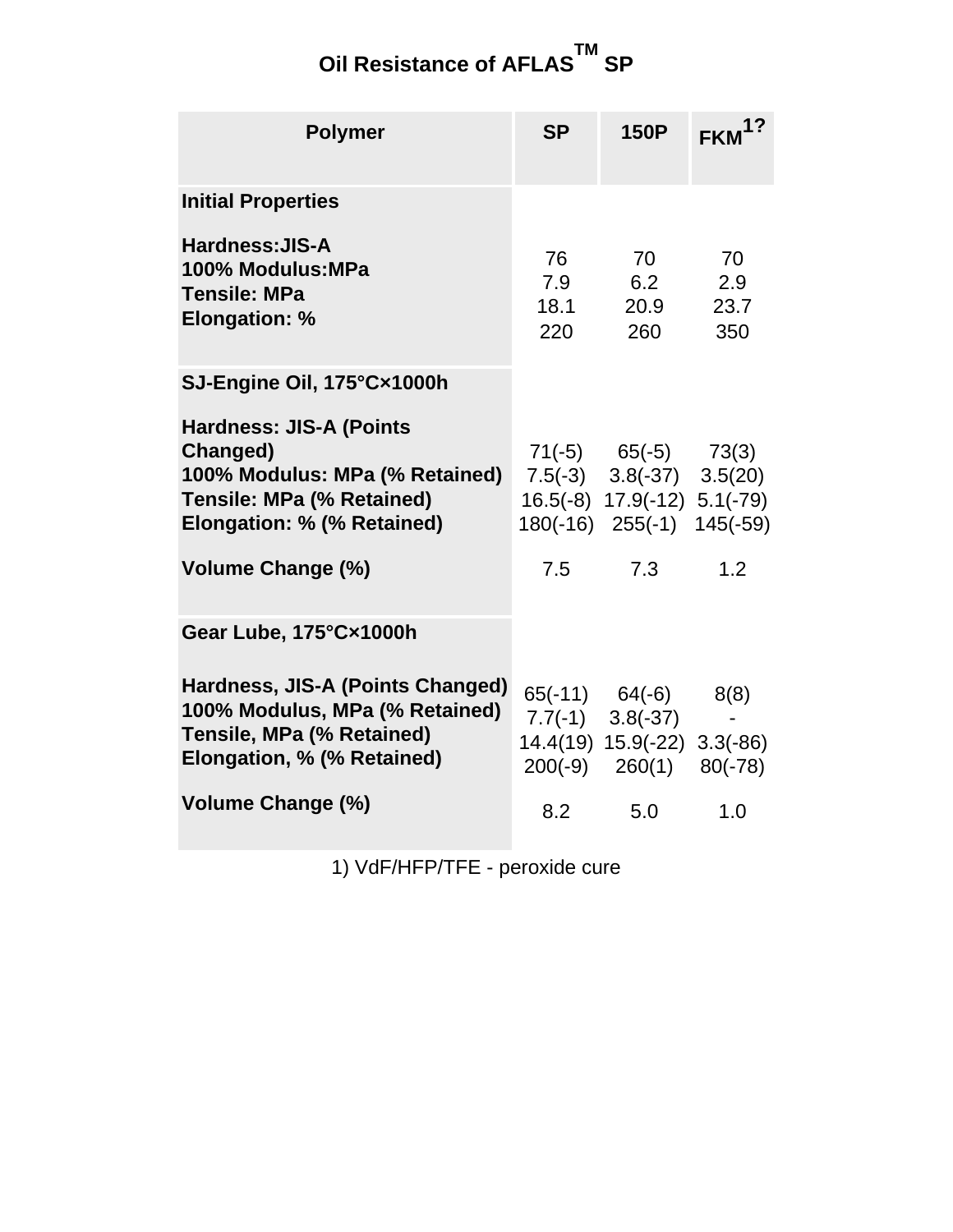#### **Oil Resistance of AFLAS TM SP**

| <b>Polymer</b>                                                                                                                                 | <b>SP</b>                | <b>150P</b>                                                                                                             | FKM <sup>1?</sup>        |
|------------------------------------------------------------------------------------------------------------------------------------------------|--------------------------|-------------------------------------------------------------------------------------------------------------------------|--------------------------|
| <b>Initial Properties</b>                                                                                                                      |                          |                                                                                                                         |                          |
| Hardness: JIS-A<br>100% Modulus: MPa<br><b>Tensile: MPa</b><br><b>Elongation: %</b>                                                            | 76<br>7.9<br>18.1<br>220 | 70<br>6.2<br>20.9<br>260                                                                                                | 70<br>2.9<br>23.7<br>350 |
| SJ-Engine Oil, 175°C×1000h                                                                                                                     |                          |                                                                                                                         |                          |
| <b>Hardness: JIS-A (Points</b><br>Changed)<br>100% Modulus: MPa (% Retained)<br><b>Tensile: MPa (% Retained)</b><br>Elongation: % (% Retained) |                          | $71(-5)$ $65(-5)$ $73(3)$<br>$7.5(-3)$ $3.8(-37)$ $3.5(20)$<br>16.5(-8) 17.9(-12) 5.1(-79)<br>180(-16) 255(-1) 145(-59) |                          |
| <b>Volume Change (%)</b>                                                                                                                       | 7.5                      | 7.3                                                                                                                     | 1.2                      |
| Gear Lube, 175°C×1000h                                                                                                                         |                          |                                                                                                                         |                          |
| Hardness, JIS-A (Points Changed)<br>100% Modulus, MPa (% Retained)<br>Tensile, MPa (% Retained)<br>Elongation, % (% Retained)                  |                          | $65(-11)$ $64(-6)$<br>$7.7(-1)$ $3.8(-37)$<br>14.4(19) 15.9(-22) 3.3(-86)<br>$200(-9)$ $260(1)$ $80(-78)$               | 8(8)                     |
| <b>Volume Change (%)</b>                                                                                                                       | 8.2                      | 5.0                                                                                                                     | 1.0                      |

1) VdF/HFP/TFE - peroxide cure